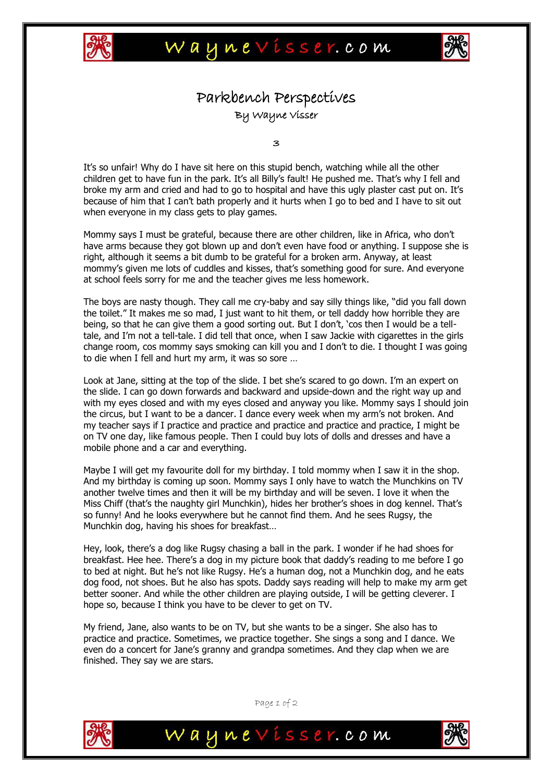



## Parkbench Perspectives By Wayne Visser

 $\overline{\mathbf{z}}$ 

It's so unfair! Why do I have sit here on this stupid bench, watching while all the other children get to have fun in the park. It's all Billy's fault! He pushed me. That's why I fell and broke my arm and cried and had to go to hospital and have this ugly plaster cast put on. It's because of him that I can"t bath properly and it hurts when I go to bed and I have to sit out when everyone in my class gets to play games.

Mommy says I must be grateful, because there are other children, like in Africa, who don"t have arms because they got blown up and don't even have food or anything. I suppose she is right, although it seems a bit dumb to be grateful for a broken arm. Anyway, at least mommy"s given me lots of cuddles and kisses, that"s something good for sure. And everyone at school feels sorry for me and the teacher gives me less homework.

The boys are nasty though. They call me cry-baby and say silly things like, "did you fall down the toilet." It makes me so mad, I just want to hit them, or tell daddy how horrible they are being, so that he can give them a good sorting out. But I don't, 'cos then I would be a telltale, and I"m not a tell-tale. I did tell that once, when I saw Jackie with cigarettes in the girls change room, cos mommy says smoking can kill you and I don"t to die. I thought I was going to die when I fell and hurt my arm, it was so sore …

Look at Jane, sitting at the top of the slide. I bet she's scared to go down. I'm an expert on the slide. I can go down forwards and backward and upside-down and the right way up and with my eyes closed and with my eyes closed and anyway you like. Mommy says I should join the circus, but I want to be a dancer. I dance every week when my arm"s not broken. And my teacher says if I practice and practice and practice and practice and practice, I might be on TV one day, like famous people. Then I could buy lots of dolls and dresses and have a mobile phone and a car and everything.

Maybe I will get my favourite doll for my birthday. I told mommy when I saw it in the shop. And my birthday is coming up soon. Mommy says I only have to watch the Munchkins on TV another twelve times and then it will be my birthday and will be seven. I love it when the Miss Chiff (that's the naughty girl Munchkin), hides her brother's shoes in dog kennel. That's so funny! And he looks everywhere but he cannot find them. And he sees Rugsy, the Munchkin dog, having his shoes for breakfast…

Hey, look, there's a dog like Rugsy chasing a ball in the park. I wonder if he had shoes for breakfast. Hee hee. There"s a dog in my picture book that daddy"s reading to me before I go to bed at night. But he's not like Rugsy. He's a human dog, not a Munchkin dog, and he eats dog food, not shoes. But he also has spots. Daddy says reading will help to make my arm get better sooner. And while the other children are playing outside, I will be getting cleverer. I hope so, because I think you have to be clever to get on TV.

My friend, Jane, also wants to be on TV, but she wants to be a singer. She also has to practice and practice. Sometimes, we practice together. She sings a song and I dance. We even do a concert for Jane"s granny and grandpa sometimes. And they clap when we are finished. They say we are stars.



Page 1 of 2